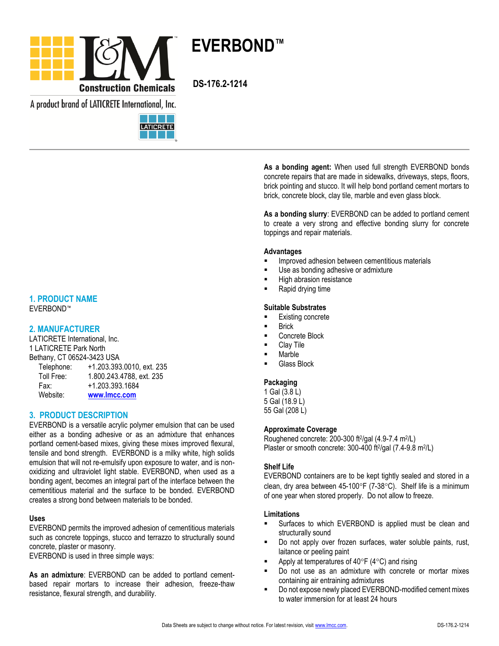

A product brand of LATICRETE International, Inc.



# **1. PRODUCT NAME**

EVERBOND™

# **2. MANUFACTURER**

LATICRETE International, Inc. 1 LATICRETE Park North Bethany, CT 06524-3423 USA Telephone: +1.203.393.0010, ext. 235 Toll Free: 1.800.243.4788, ext. 235 Fax: +1.203.393.1684 Website: **[www.lmcc.com](http://www.lmcc.com/)**

# **3. PRODUCT DESCRIPTION**

EVERBOND is a versatile acrylic polymer emulsion that can be used either as a bonding adhesive or as an admixture that enhances portland cement-based mixes, giving these mixes improved flexural, tensile and bond strength. EVERBOND is a milky white, high solids emulsion that will not re-emulsify upon exposure to water, and is nonoxidizing and ultraviolet light stable. EVERBOND, when used as a bonding agent, becomes an integral part of the interface between the cementitious material and the surface to be bonded. EVERBOND creates a strong bond between materials to be bonded.

# **Uses**

EVERBOND permits the improved adhesion of cementitious materials such as concrete toppings, stucco and terrazzo to structurally sound concrete, plaster or masonry.

EVERBOND is used in three simple ways:

**As an admixture**: EVERBOND can be added to portland cementbased repair mortars to increase their adhesion, freeze-thaw resistance, flexural strength, and durability.

**As a bonding agent:** When used full strength EVERBOND bonds concrete repairs that are made in sidewalks, driveways, steps, floors, brick pointing and stucco. It will help bond portland cement mortars to brick, concrete block, clay tile, marble and even glass block.

**As a bonding slurry**: EVERBOND can be added to portland cement to create a very strong and effective bonding slurry for concrete toppings and repair materials.

#### **Advantages**

- Improved adhesion between cementitious materials
- Use as bonding adhesive or admixture
- High abrasion resistance
- Rapid drying time

# **Suitable Substrates**

- Existing concrete
- Brick
- Concrete Block
- Clay Tile
- Marble
- Glass Block

# **Packaging**

1 Gal (3.8 L) 5 Gal (18.9 L) 55 Gal (208 L)

# **Approximate Coverage**

Roughened concrete: 200-300 ft<sup>2</sup>/gal (4.9-7.4 m<sup>2</sup>/L) Plaster or smooth concrete: 300-400 ft<sup>2</sup>/gal (7.4-9.8 m<sup>2</sup>/L)

# **Shelf Life**

EVERBOND containers are to be kept tightly sealed and stored in a clean, dry area between  $45-100^{\circ}F$  (7-38 $^{\circ}C$ ). Shelf life is a minimum of one year when stored properly. Do not allow to freeze.

# **Limitations**

- Surfaces to which EVERBOND is applied must be clean and structurally sound
- Do not apply over frozen surfaces, water soluble paints, rust, laitance or peeling paint
- Apply at temperatures of  $40^{\circ}F$  (4 $^{\circ}C$ ) and rising
- Do not use as an admixture with concrete or mortar mixes containing air entraining admixtures
- Do not expose newly placed EVERBOND-modified cement mixes to water immersion for at least 24 hours